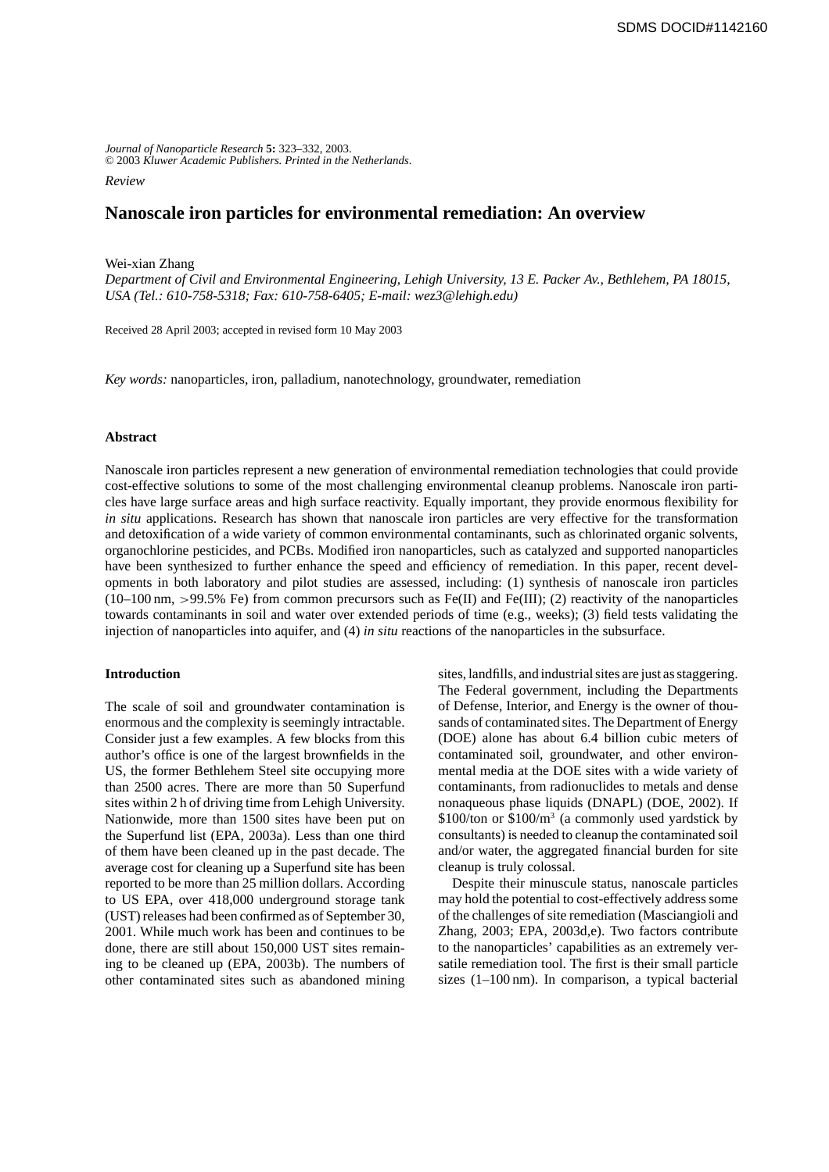*Journal of Nanoparticle Research* **5:** 323–332, 2003. © 2003 *Kluwer Academic Publishers. Printed in the Netherlands*.

*Review*

# **Nanoscale iron particles for environmental remediation: An overview**

### Wei-xian Zhang

*Department of Civil and Environmental Engineering, Lehigh University, 13 E. Packer Av., Bethlehem, PA 18015, USA (Tel.: 610-758-5318; Fax: 610-758-6405; E-mail: wez3@lehigh.edu)*

Received 28 April 2003; accepted in revised form 10 May 2003

*Key words:* nanoparticles, iron, palladium, nanotechnology, groundwater, remediation

#### **Abstract**

Nanoscale iron particles represent a new generation of environmental remediation technologies that could provide cost-effective solutions to some of the most challenging environmental cleanup problems. Nanoscale iron particles have large surface areas and high surface reactivity. Equally important, they provide enormous flexibility for *in situ* applications. Research has shown that nanoscale iron particles are very effective for the transformation and detoxification of a wide variety of common environmental contaminants, such as chlorinated organic solvents, organochlorine pesticides, and PCBs. Modified iron nanoparticles, such as catalyzed and supported nanoparticles have been synthesized to further enhance the speed and efficiency of remediation. In this paper, recent developments in both laboratory and pilot studies are assessed, including: (1) synthesis of nanoscale iron particles  $(10-100 \text{ nm}, >99.5\% \text{ Fe})$  from common precursors such as Fe(II) and Fe(III); (2) reactivity of the nanoparticles towards contaminants in soil and water over extended periods of time (e.g., weeks); (3) field tests validating the injection of nanoparticles into aquifer, and (4) *in situ* reactions of the nanoparticles in the subsurface.

# **Introduction**

The scale of soil and groundwater contamination is enormous and the complexity is seemingly intractable. Consider just a few examples. A few blocks from this author's office is one of the largest brownfields in the US, the former Bethlehem Steel site occupying more than 2500 acres. There are more than 50 Superfund sites within 2 h of driving time from Lehigh University. Nationwide, more than 1500 sites have been put on the Superfund list (EPA, 2003a). Less than one third of them have been cleaned up in the past decade. The average cost for cleaning up a Superfund site has been reported to be more than 25 million dollars. According to US EPA, over 418,000 underground storage tank (UST) releases had been confirmed as of September 30, 2001. While much work has been and continues to be done, there are still about 150,000 UST sites remaining to be cleaned up (EPA, 2003b). The numbers of other contaminated sites such as abandoned mining

sites, landfills, and industrial sites are just as staggering. The Federal government, including the Departments of Defense, Interior, and Energy is the owner of thousands of contaminated sites. The Department of Energy (DOE) alone has about 6.4 billion cubic meters of contaminated soil, groundwater, and other environmental media at the DOE sites with a wide variety of contaminants, from radionuclides to metals and dense nonaqueous phase liquids (DNAPL) (DOE, 2002). If  $$100/ton$  or  $$100/m<sup>3</sup>$  (a commonly used yardstick by consultants) is needed to cleanup the contaminated soil and/or water, the aggregated financial burden for site cleanup is truly colossal.

Despite their minuscule status, nanoscale particles may hold the potential to cost-effectively address some of the challenges of site remediation (Masciangioli and Zhang, 2003; EPA, 2003d,e). Two factors contribute to the nanoparticles' capabilities as an extremely versatile remediation tool. The first is their small particle sizes (1–100 nm). In comparison, a typical bacterial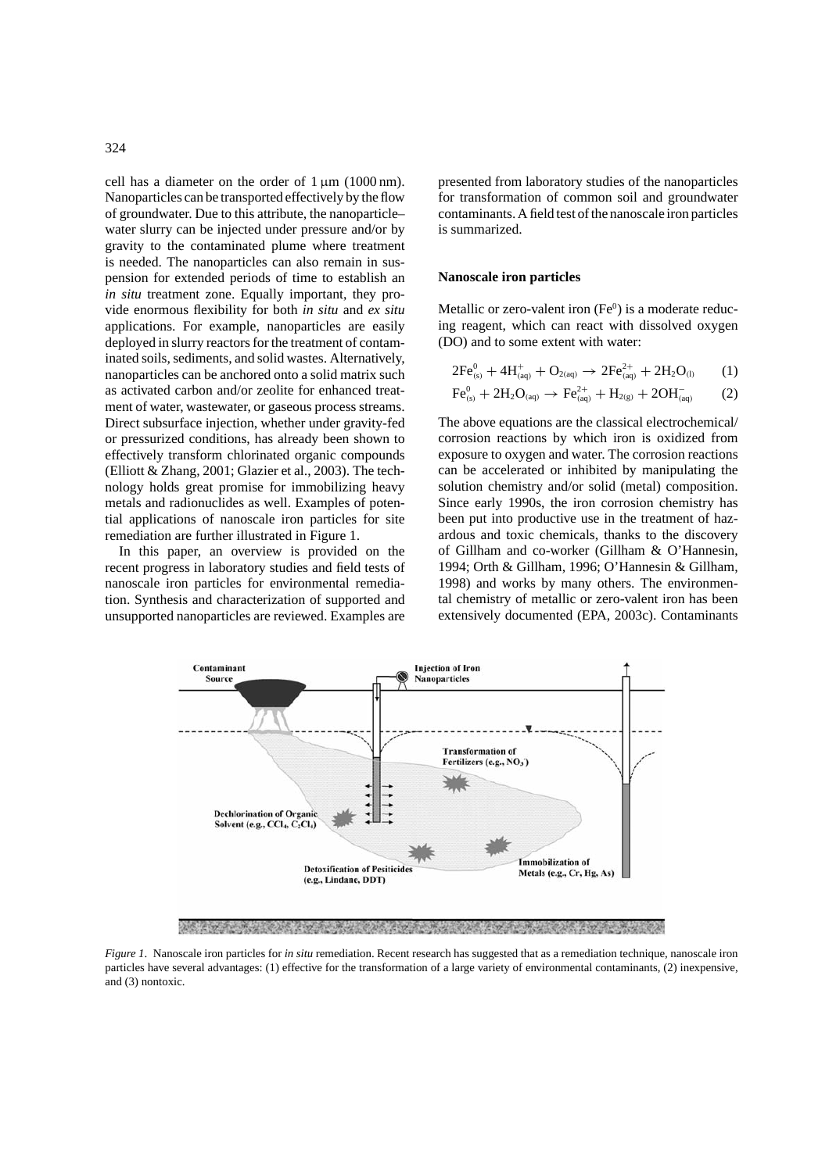cell has a diameter on the order of  $1 \mu m$  (1000 nm). Nanoparticles can be transported effectively by the flow of groundwater. Due to this attribute, the nanoparticle– water slurry can be injected under pressure and/or by gravity to the contaminated plume where treatment is needed. The nanoparticles can also remain in suspension for extended periods of time to establish an *in situ* treatment zone. Equally important, they provide enormous flexibility for both *in situ* and *ex situ* applications. For example, nanoparticles are easily deployed in slurry reactors for the treatment of contaminated soils, sediments, and solid wastes. Alternatively, nanoparticles can be anchored onto a solid matrix such as activated carbon and/or zeolite for enhanced treatment of water, wastewater, or gaseous process streams. Direct subsurface injection, whether under gravity-fed or pressurized conditions, has already been shown to effectively transform chlorinated organic compounds (Elliott & Zhang, 2001; Glazier et al., 2003). The technology holds great promise for immobilizing heavy metals and radionuclides as well. Examples of potential applications of nanoscale iron particles for site remediation are further illustrated in Figure 1.

In this paper, an overview is provided on the recent progress in laboratory studies and field tests of nanoscale iron particles for environmental remediation. Synthesis and characterization of supported and unsupported nanoparticles are reviewed. Examples are

presented from laboratory studies of the nanoparticles for transformation of common soil and groundwater contaminants. A field test of the nanoscale iron particles is summarized.

### **Nanoscale iron particles**

Metallic or zero-valent iron  $(Fe<sup>0</sup>)$  is a moderate reducing reagent, which can react with dissolved oxygen (DO) and to some extent with water:

$$
2Fe_{(s)}^0 + 4H_{(aq)}^+ + O_{2(aq)} \rightarrow 2Fe_{(aq)}^{2+} + 2H_2O_{(l)} \qquad (1)
$$

$$
Fe^0_{\scriptscriptstyle (s)}+2H_2O_{\scriptscriptstyle (aq)}\rightarrow Fe^{2+}_{\scriptscriptstyle (aq)}+H_{2(g)}+2OH_{\scriptscriptstyle (aq)}^- \qquad (2)
$$

The above equations are the classical electrochemical/ corrosion reactions by which iron is oxidized from exposure to oxygen and water. The corrosion reactions can be accelerated or inhibited by manipulating the solution chemistry and/or solid (metal) composition. Since early 1990s, the iron corrosion chemistry has been put into productive use in the treatment of hazardous and toxic chemicals, thanks to the discovery of Gillham and co-worker (Gillham & O'Hannesin, 1994; Orth & Gillham, 1996; O'Hannesin & Gillham, 1998) and works by many others. The environmental chemistry of metallic or zero-valent iron has been extensively documented (EPA, 2003c). Contaminants



*Figure 1*. Nanoscale iron particles for *in situ* remediation. Recent research has suggested that as a remediation technique, nanoscale iron particles have several advantages: (1) effective for the transformation of a large variety of environmental contaminants, (2) inexpensive, and (3) nontoxic.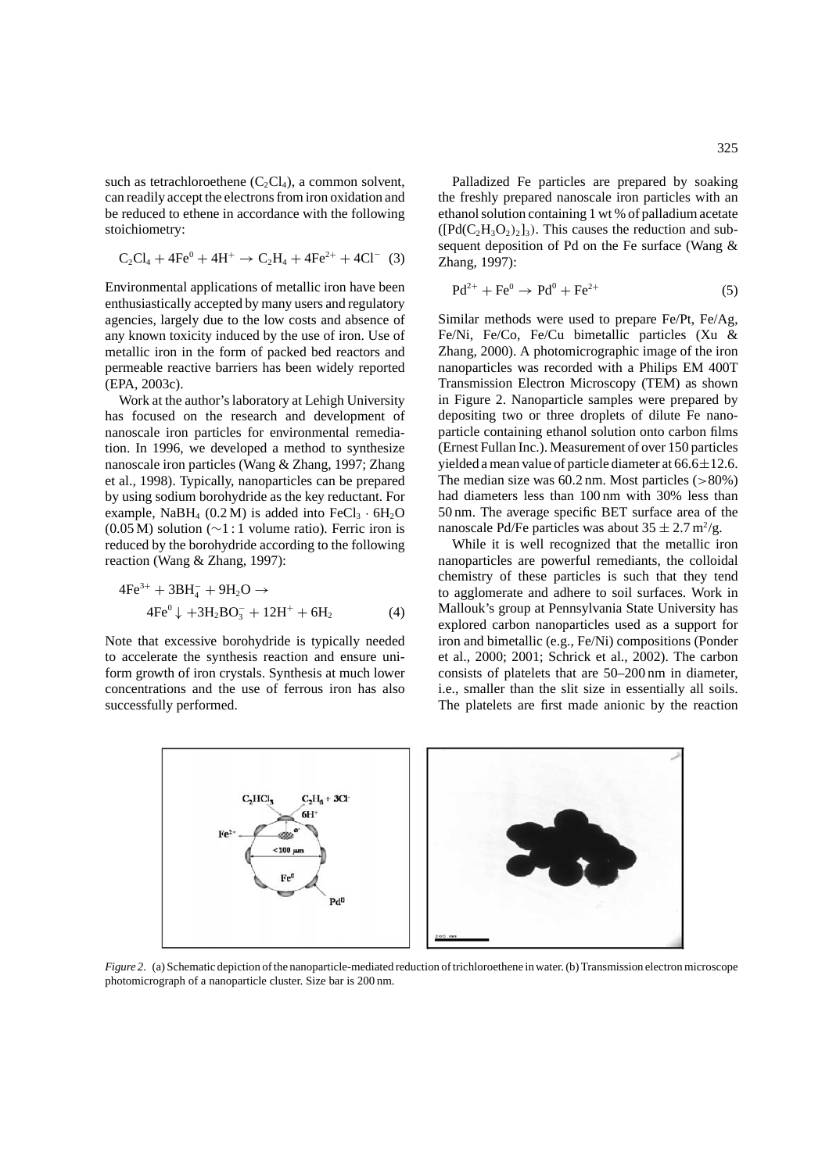such as tetrachloroethene  $(C_2Cl_4)$ , a common solvent, can readily accept the electrons from iron oxidation and be reduced to ethene in accordance with the following stoichiometry:

$$
C_2Cl_4 + 4Fe^0 + 4H^+ \rightarrow C_2H_4 + 4Fe^{2+} + 4Cl^- (3)
$$

Environmental applications of metallic iron have been enthusiastically accepted by many users and regulatory agencies, largely due to the low costs and absence of any known toxicity induced by the use of iron. Use of metallic iron in the form of packed bed reactors and permeable reactive barriers has been widely reported (EPA, 2003c).

Work at the author's laboratory at Lehigh University has focused on the research and development of nanoscale iron particles for environmental remediation. In 1996, we developed a method to synthesize nanoscale iron particles (Wang & Zhang, 1997; Zhang et al., 1998). Typically, nanoparticles can be prepared by using sodium borohydride as the key reductant. For example, NaBH<sub>4</sub> (0.2 M) is added into FeCl<sub>3</sub>  $\cdot$  6H<sub>2</sub>O (0.05 M) solution ( $\sim$ 1 : 1 volume ratio). Ferric iron is reduced by the borohydride according to the following reaction (Wang & Zhang, 1997):

$$
4Fe3+ + 3BH4- + 9H2O \rightarrow
$$
  

$$
4Fe0 + 3H2BO3- + 12H+ + 6H2
$$
 (4)

Note that excessive borohydride is typically needed to accelerate the synthesis reaction and ensure uniform growth of iron crystals. Synthesis at much lower concentrations and the use of ferrous iron has also successfully performed.

Palladized Fe particles are prepared by soaking the freshly prepared nanoscale iron particles with an ethanol solution containing 1 wt % of palladium acetate  $([Pd(C<sub>2</sub>H<sub>3</sub>O<sub>2</sub>)<sub>2</sub>]<sub>3</sub>)$ . This causes the reduction and subsequent deposition of Pd on the Fe surface (Wang & Zhang, 1997):

$$
\mathrm{Pd}^{2+} + \mathrm{Fe}^0 \rightarrow \mathrm{Pd}^0 + \mathrm{Fe}^{2+} \tag{5}
$$

Similar methods were used to prepare Fe/Pt, Fe/Ag, Fe/Ni, Fe/Co, Fe/Cu bimetallic particles (Xu & Zhang, 2000). A photomicrographic image of the iron nanoparticles was recorded with a Philips EM 400T Transmission Electron Microscopy (TEM) as shown in Figure 2. Nanoparticle samples were prepared by depositing two or three droplets of dilute Fe nanoparticle containing ethanol solution onto carbon films (Ernest Fullan Inc.). Measurement of over 150 particles yielded a mean value of particle diameter at 66.6±12.6. The median size was  $60.2$  nm. Most particles ( $>80\%$ ) had diameters less than 100 nm with 30% less than 50 nm. The average specific BET surface area of the nanoscale Pd/Fe particles was about  $35 \pm 2.7$  m<sup>2</sup>/g.

While it is well recognized that the metallic iron nanoparticles are powerful remediants, the colloidal chemistry of these particles is such that they tend to agglomerate and adhere to soil surfaces. Work in Mallouk's group at Pennsylvania State University has explored carbon nanoparticles used as a support for iron and bimetallic (e.g., Fe/Ni) compositions (Ponder et al., 2000; 2001; Schrick et al., 2002). The carbon consists of platelets that are 50–200 nm in diameter, i.e., smaller than the slit size in essentially all soils. The platelets are first made anionic by the reaction



*Figure 2*. (a) Schematic depiction of the nanoparticle-mediated reduction of trichloroethene in water. (b) Transmission electron microscope photomicrograph of a nanoparticle cluster. Size bar is 200 nm.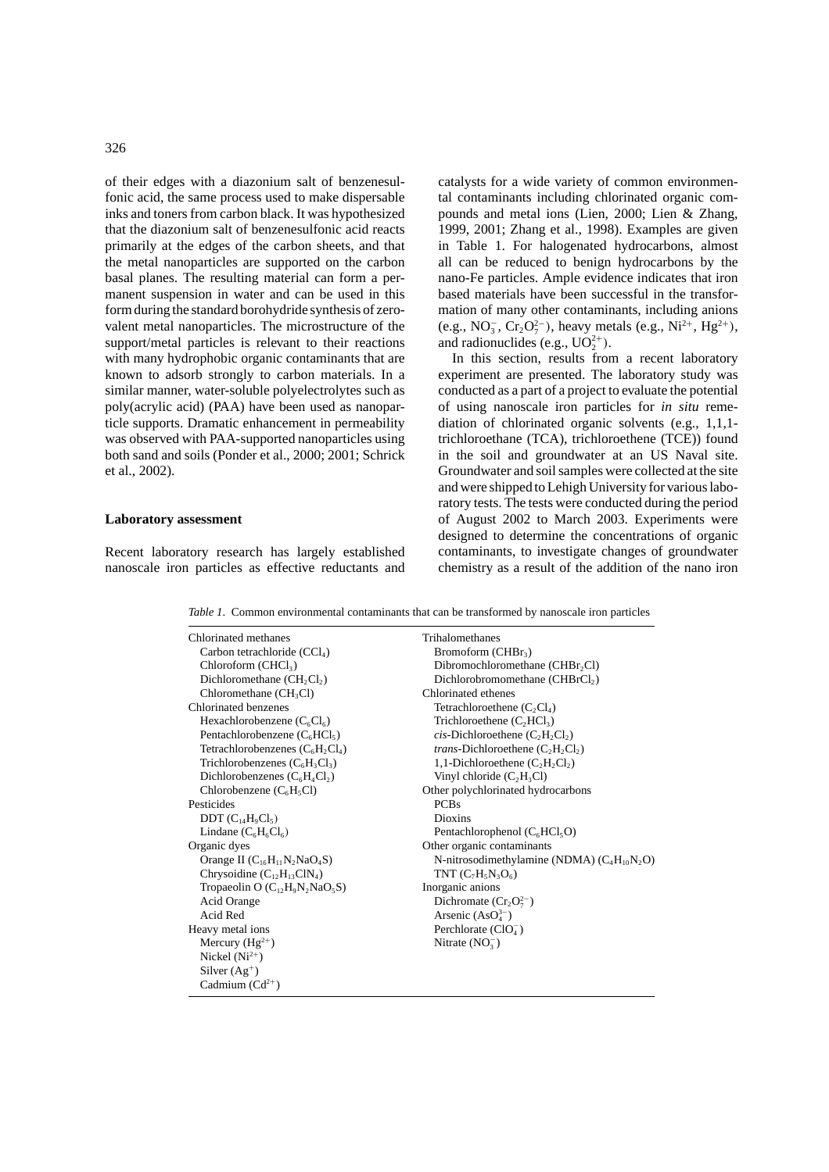326

of their edges with a diazonium salt of benzenesulfonic acid, the same process used to make dispersable inks and toners from carbon black. It was hypothesized that the diazonium salt of benzenesulfonic acid reacts primarily at the edges of the carbon sheets, and that the metal nanoparticles are supported on the carbon basal planes. The resulting material can form a permanent suspension in water and can be used in this form during the standard borohydride synthesis of zerovalent metal nanoparticles. The microstructure of the support/metal particles is relevant to their reactions with many hydrophobic organic contaminants that are known to adsorb strongly to carbon materials. In a similar manner, water-soluble polyelectrolytes such as poly(acrylic acid) (PAA) have been used as nanoparticle supports. Dramatic enhancement in permeability was observed with PAA-supported nanoparticles using both sand and soils (Ponder et al., 2000; 2001; Schrick et al., 2002).

### **Laboratory assessment**

Recent laboratory research has largely established nanoscale iron particles as effective reductants and catalysts for a wide variety of common environmental contaminants including chlorinated organic compounds and metal ions (Lien, 2000; Lien & Zhang, 1999, 2001; Zhang et al., 1998). Examples are given in Table 1. For halogenated hydrocarbons, almost all can be reduced to benign hydrocarbons by the nano-Fe particles. Ample evidence indicates that iron based materials have been successful in the transformation of many other contaminants, including anions (e.g., NO<sub>3</sub>, Cr<sub>2</sub>O<sub>7</sub><sup>-</sup>), heavy metals (e.g., Ni<sup>2+</sup>, Hg<sup>2+</sup>), and radionuclides (e.g.,  $UO_2^{2+}$ ).

In this section, results from a recent laboratory experiment are presented. The laboratory study was conducted as a part of a project to evaluate the potential of using nanoscale iron particles for *in situ* remediation of chlorinated organic solvents (e.g., 1,1,1 trichloroethane (TCA), trichloroethene (TCE)) found in the soil and groundwater at an US Naval site. Groundwater and soil samples were collected at the site and were shipped to Lehigh University for various laboratory tests. The tests were conducted during the period of August 2002 to March 2003. Experiments were designed to determine the concentrations of organic contaminants, to investigate changes of groundwater chemistry as a result of the addition of the nano iron

*Table 1*. Common environmental contaminants that can be transformed by nanoscale iron particles

| Chlorinated methanes                | Trihalomethanes                                 |
|-------------------------------------|-------------------------------------------------|
| Carbon tetrachloride $(CCl4)$       | Bromoform $(CHBr3)$                             |
| Chloroform $(CHCl3)$                | Dibromochloromethane (CHBr <sub>2</sub> Cl)     |
| Dichloromethane $(CH_2Cl_2)$        | Dichlorobromomethane (CHBrCl <sub>2</sub> )     |
| Chloromethane $(CH_3Cl)$            | Chlorinated ethenes                             |
| Chlorinated benzenes                | Tetrachloroethene $(C_2Cl_4)$                   |
| Hexachlorobenzene $(C_6Cl_6)$       | Trichloroethene $(C_2HCl_3)$                    |
| Pentachlorobenzene $(C_6HC_5)$      | <i>cis</i> -Dichloroethene $(C_2H_2Cl_2)$       |
| Tetrachlorobenzenes $(C_6H_2Cl_4)$  | <i>trans</i> -Dichloroethene $(C_2H_2Cl_2)$     |
| Trichlorobenzenes $(C_6H_3Cl_3)$    | 1,1-Dichloroethene $(C, H, Cl2)$                |
| Dichlorobenzenes $(C_6H_4Cl_2)$     | Vinyl chloride $(C_2H_3Cl)$                     |
| Chlorobenzene $(C_6H_5Cl)$          | Other polychlorinated hydrocarbons              |
| Pesticides                          | <b>PCBs</b>                                     |
| DDT $(C_{14}H_9Cl_5)$               | Dioxins                                         |
| Lindane $(C_6H_6Cl_6)$              | Pentachlorophenol $(C_6HCl_5O)$                 |
| Organic dyes                        | Other organic contaminants                      |
| Orange II $(C_{16}H_{11}N_2NaO_4S)$ | N-nitrosodimethylamine (NDMA) $(C_4H_{10}N_2O)$ |
| Chrysoidine $(C_{12}H_{13}ClN_4)$   | TNT $(C_7H_5N_3O_6)$                            |
| Tropaeolin O $(C_1, H_0N, NaO_5S)$  | Inorganic anions                                |
| Acid Orange                         | Dichromate $(Cr_2O_7^{2-})$                     |
| Acid Red                            | Arsenic $(AsO43-)$                              |
| Heavy metal ions                    | Perchlorate $(CIO4-)$                           |
| Mercury $(Hg^{2+})$                 | Nitrate $(NO3-)$                                |
| Nickel $(Ni^{2+})$                  |                                                 |
| Silver $(Ag^+)$                     |                                                 |
| Cadmium $(Cd^{2+})$                 |                                                 |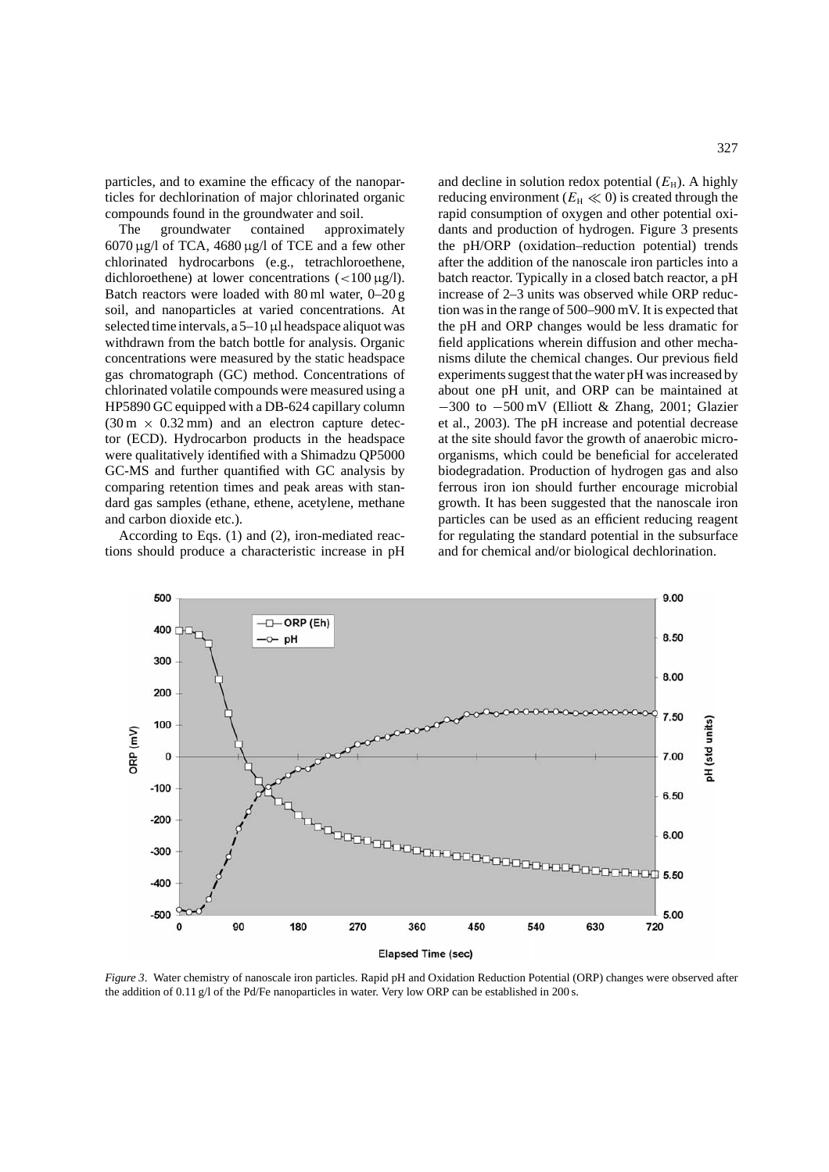particles, and to examine the efficacy of the nanoparticles for dechlorination of major chlorinated organic compounds found in the groundwater and soil.

The groundwater contained approximately  $6070 \,\mu g/l$  of TCA,  $4680 \,\mu g/l$  of TCE and a few other chlorinated hydrocarbons (e.g., tetrachloroethene, dichloroethene) at lower concentrations  $\left($ <100  $\mu$ g/l). Batch reactors were loaded with 80 ml water, 0–20 g soil, and nanoparticles at varied concentrations. At selected time intervals, a  $5-10 \mu l$  headspace aliquot was withdrawn from the batch bottle for analysis. Organic concentrations were measured by the static headspace gas chromatograph (GC) method. Concentrations of chlorinated volatile compounds were measured using a HP5890 GC equipped with a DB-624 capillary column  $(30 \text{ m} \times 0.32 \text{ mm})$  and an electron capture detector (ECD). Hydrocarbon products in the headspace were qualitatively identified with a Shimadzu QP5000 GC-MS and further quantified with GC analysis by comparing retention times and peak areas with standard gas samples (ethane, ethene, acetylene, methane and carbon dioxide etc.).

According to Eqs. (1) and (2), iron-mediated reactions should produce a characteristic increase in pH

and decline in solution redox potential  $(E_{\rm H})$ . A highly reducing environment ( $E_H \ll 0$ ) is created through the rapid consumption of oxygen and other potential oxidants and production of hydrogen. Figure 3 presents the pH/ORP (oxidation–reduction potential) trends after the addition of the nanoscale iron particles into a batch reactor. Typically in a closed batch reactor, a pH increase of 2–3 units was observed while ORP reduction was in the range of 500–900 mV. It is expected that the pH and ORP changes would be less dramatic for field applications wherein diffusion and other mechanisms dilute the chemical changes. Our previous field experiments suggest that the water pH was increased by about one pH unit, and ORP can be maintained at −300 to −500 mV (Elliott & Zhang, 2001; Glazier et al., 2003). The pH increase and potential decrease at the site should favor the growth of anaerobic microorganisms, which could be beneficial for accelerated biodegradation. Production of hydrogen gas and also ferrous iron ion should further encourage microbial growth. It has been suggested that the nanoscale iron particles can be used as an efficient reducing reagent for regulating the standard potential in the subsurface and for chemical and/or biological dechlorination.



*Figure 3*. Water chemistry of nanoscale iron particles. Rapid pH and Oxidation Reduction Potential (ORP) changes were observed after the addition of 0.11 g/l of the Pd/Fe nanoparticles in water. Very low ORP can be established in 200 s.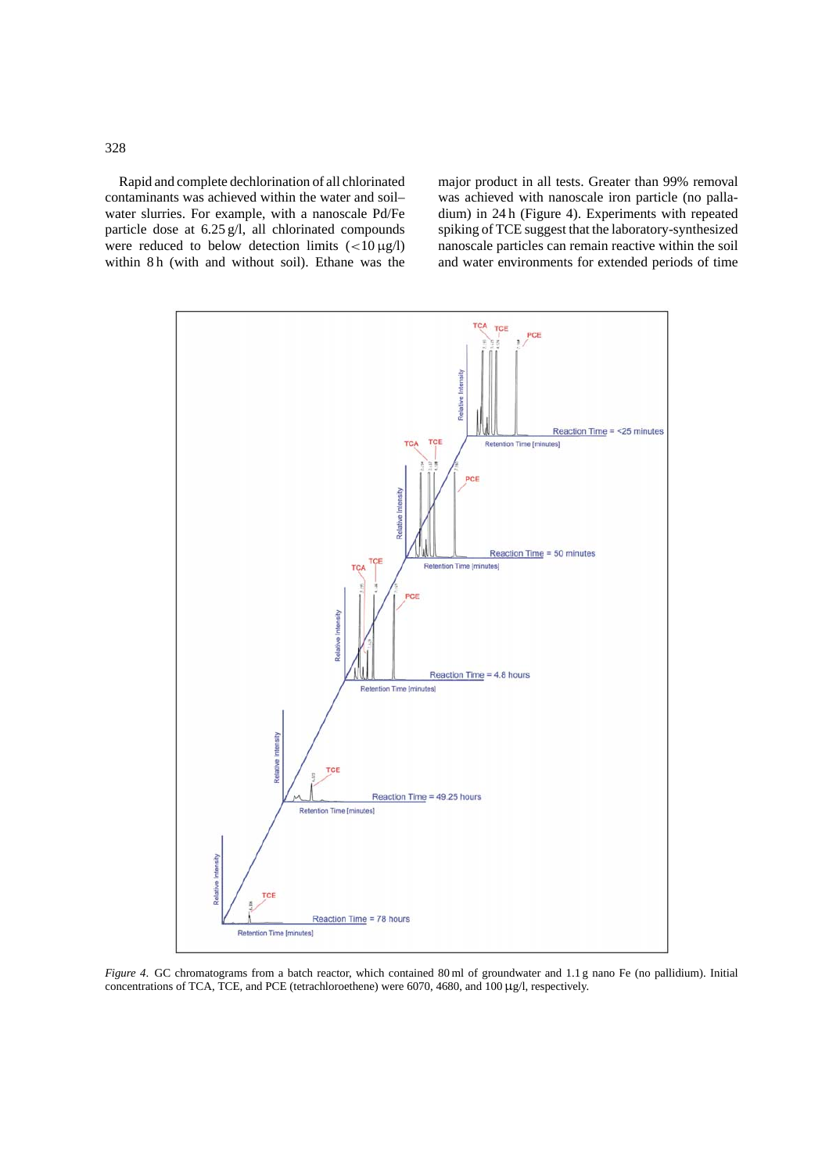Rapid and complete dechlorination of all chlorinated contaminants was achieved within the water and soil– water slurries. For example, with a nanoscale Pd/Fe particle dose at 6.25 g/l, all chlorinated compounds were reduced to below detection limits  $\left( < 10 \,\mu\text{g/l} \right)$ within 8h (with and without soil). Ethane was the

major product in all tests. Greater than 99% removal was achieved with nanoscale iron particle (no palladium) in 24 h (Figure 4). Experiments with repeated spiking of TCE suggest that the laboratory-synthesized nanoscale particles can remain reactive within the soil and water environments for extended periods of time



*Figure 4*. GC chromatograms from a batch reactor, which contained 80 ml of groundwater and 1.1 g nano Fe (no pallidium). Initial concentrations of TCA, TCE, and PCE (tetrachloroethene) were 6070, 4680, and 100  $\mu$ g/l, respectively.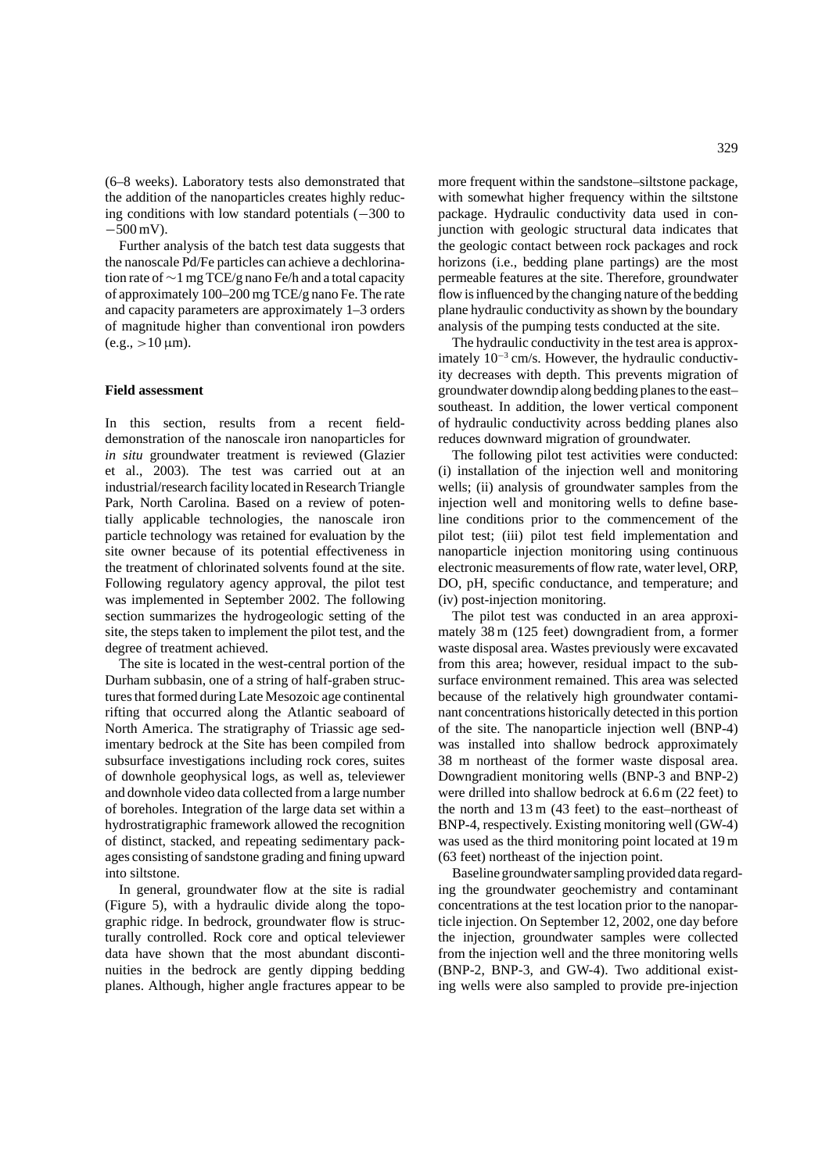(6–8 weeks). Laboratory tests also demonstrated that the addition of the nanoparticles creates highly reducing conditions with low standard potentials  $(-300 \text{ to}$  $-500 \,\mathrm{mV}$ ).

Further analysis of the batch test data suggests that the nanoscale Pd/Fe particles can achieve a dechlorination rate of ∼1 mg TCE/g nano Fe/h and a total capacity of approximately 100–200 mg TCE/g nano Fe. The rate and capacity parameters are approximately 1–3 orders of magnitude higher than conventional iron powders  $(e.g., >10 \,\mu m).$ 

#### **Field assessment**

In this section, results from a recent fielddemonstration of the nanoscale iron nanoparticles for *in situ* groundwater treatment is reviewed (Glazier et al., 2003). The test was carried out at an industrial/research facility located in Research Triangle Park, North Carolina. Based on a review of potentially applicable technologies, the nanoscale iron particle technology was retained for evaluation by the site owner because of its potential effectiveness in the treatment of chlorinated solvents found at the site. Following regulatory agency approval, the pilot test was implemented in September 2002. The following section summarizes the hydrogeologic setting of the site, the steps taken to implement the pilot test, and the degree of treatment achieved.

The site is located in the west-central portion of the Durham subbasin, one of a string of half-graben structures that formed during Late Mesozoic age continental rifting that occurred along the Atlantic seaboard of North America. The stratigraphy of Triassic age sedimentary bedrock at the Site has been compiled from subsurface investigations including rock cores, suites of downhole geophysical logs, as well as, televiewer and downhole video data collected from a large number of boreholes. Integration of the large data set within a hydrostratigraphic framework allowed the recognition of distinct, stacked, and repeating sedimentary packages consisting of sandstone grading and fining upward into siltstone.

In general, groundwater flow at the site is radial (Figure 5), with a hydraulic divide along the topographic ridge. In bedrock, groundwater flow is structurally controlled. Rock core and optical televiewer data have shown that the most abundant discontinuities in the bedrock are gently dipping bedding planes. Although, higher angle fractures appear to be

more frequent within the sandstone–siltstone package, with somewhat higher frequency within the siltstone package. Hydraulic conductivity data used in conjunction with geologic structural data indicates that the geologic contact between rock packages and rock horizons (i.e., bedding plane partings) are the most permeable features at the site. Therefore, groundwater flow is influenced by the changing nature of the bedding plane hydraulic conductivity as shown by the boundary analysis of the pumping tests conducted at the site.

The hydraulic conductivity in the test area is approximately  $10^{-3}$  cm/s. However, the hydraulic conductivity decreases with depth. This prevents migration of groundwater downdip along bedding planes to the east– southeast. In addition, the lower vertical component of hydraulic conductivity across bedding planes also reduces downward migration of groundwater.

The following pilot test activities were conducted: (i) installation of the injection well and monitoring wells; (ii) analysis of groundwater samples from the injection well and monitoring wells to define baseline conditions prior to the commencement of the pilot test; (iii) pilot test field implementation and nanoparticle injection monitoring using continuous electronic measurements of flow rate, water level, ORP, DO, pH, specific conductance, and temperature; and (iv) post-injection monitoring.

The pilot test was conducted in an area approximately 38 m (125 feet) downgradient from, a former waste disposal area. Wastes previously were excavated from this area; however, residual impact to the subsurface environment remained. This area was selected because of the relatively high groundwater contaminant concentrations historically detected in this portion of the site. The nanoparticle injection well (BNP-4) was installed into shallow bedrock approximately 38 m northeast of the former waste disposal area. Downgradient monitoring wells (BNP-3 and BNP-2) were drilled into shallow bedrock at 6.6 m (22 feet) to the north and 13 m (43 feet) to the east–northeast of BNP-4, respectively. Existing monitoring well (GW-4) was used as the third monitoring point located at 19 m (63 feet) northeast of the injection point.

Baseline groundwater sampling provided data regarding the groundwater geochemistry and contaminant concentrations at the test location prior to the nanoparticle injection. On September 12, 2002, one day before the injection, groundwater samples were collected from the injection well and the three monitoring wells (BNP-2, BNP-3, and GW-4). Two additional existing wells were also sampled to provide pre-injection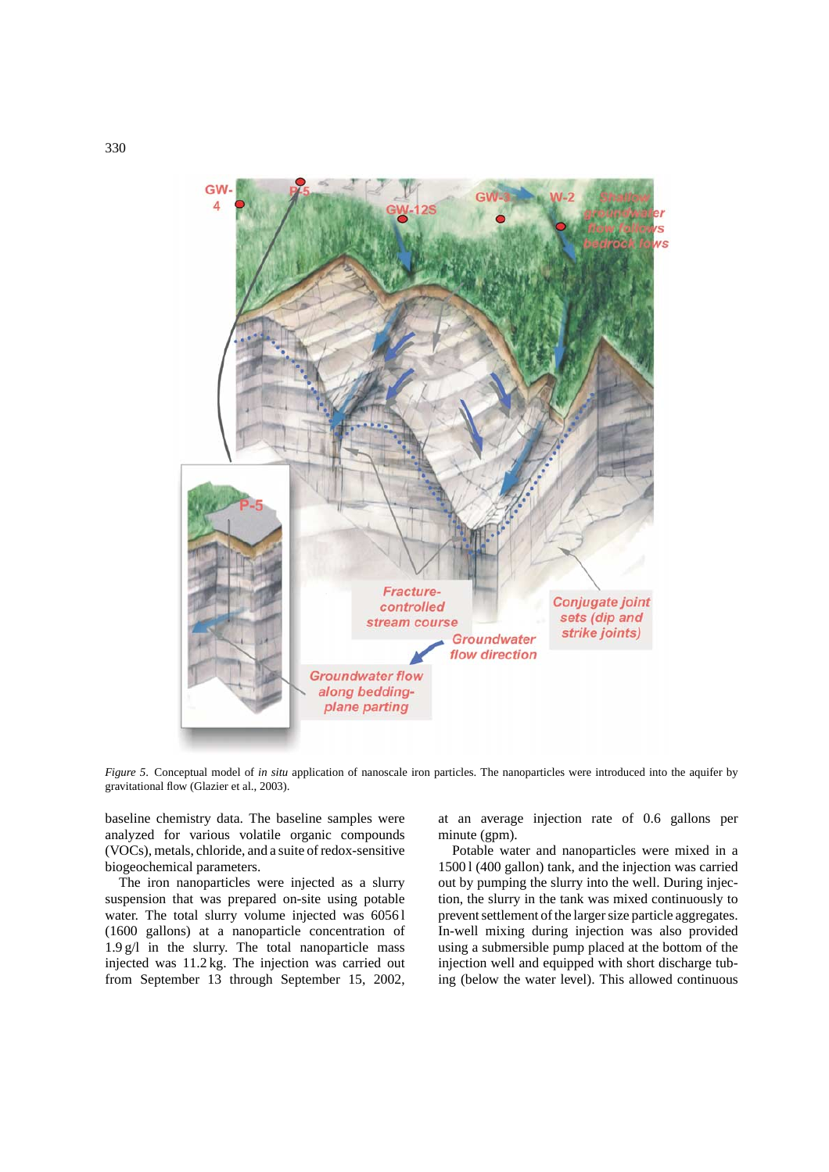

*Figure 5*. Conceptual model of *in situ* application of nanoscale iron particles. The nanoparticles were introduced into the aquifer by gravitational flow (Glazier et al., 2003).

baseline chemistry data. The baseline samples were analyzed for various volatile organic compounds (VOCs), metals, chloride, and a suite of redox-sensitive biogeochemical parameters.

The iron nanoparticles were injected as a slurry suspension that was prepared on-site using potable water. The total slurry volume injected was 6056 l (1600 gallons) at a nanoparticle concentration of 1.9 g/l in the slurry. The total nanoparticle mass injected was 11.2 kg. The injection was carried out from September 13 through September 15, 2002,

at an average injection rate of 0.6 gallons per minute (gpm).

Potable water and nanoparticles were mixed in a 1500 l (400 gallon) tank, and the injection was carried out by pumping the slurry into the well. During injection, the slurry in the tank was mixed continuously to prevent settlement of the larger size particle aggregates. In-well mixing during injection was also provided using a submersible pump placed at the bottom of the injection well and equipped with short discharge tubing (below the water level). This allowed continuous

330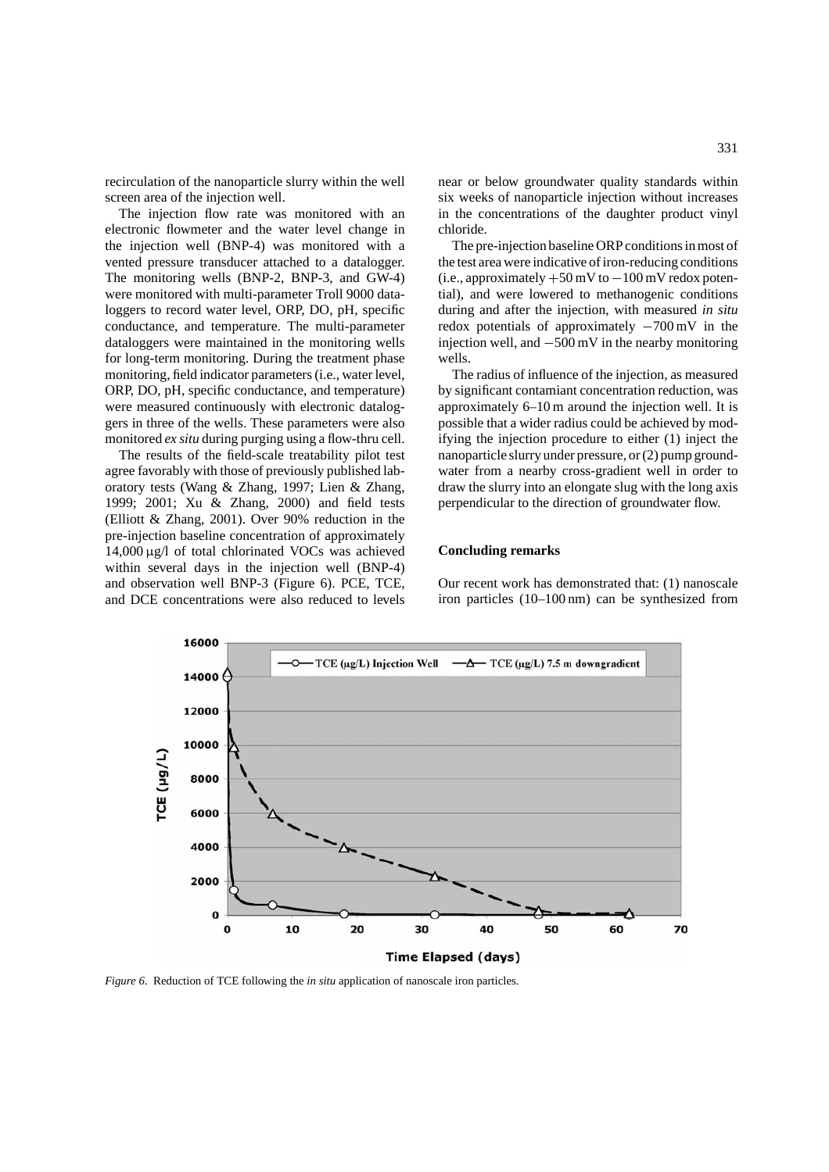recirculation of the nanoparticle slurry within the well screen area of the injection well.

The injection flow rate was monitored with an electronic flowmeter and the water level change in the injection well (BNP-4) was monitored with a vented pressure transducer attached to a datalogger. The monitoring wells (BNP-2, BNP-3, and GW-4) were monitored with multi-parameter Troll 9000 dataloggers to record water level, ORP, DO, pH, specific conductance, and temperature. The multi-parameter dataloggers were maintained in the monitoring wells for long-term monitoring. During the treatment phase monitoring, field indicator parameters (i.e., water level, ORP, DO, pH, specific conductance, and temperature) were measured continuously with electronic dataloggers in three of the wells. These parameters were also monitored *ex situ* during purging using a flow-thru cell.

The results of the field-scale treatability pilot test agree favorably with those of previously published laboratory tests (Wang & Zhang, 1997; Lien & Zhang, 1999; 2001; Xu & Zhang, 2000) and field tests (Elliott & Zhang, 2001). Over 90% reduction in the pre-injection baseline concentration of approximately 14,000 µg/l of total chlorinated VOCs was achieved within several days in the injection well (BNP-4) and observation well BNP-3 (Figure 6). PCE, TCE, and DCE concentrations were also reduced to levels

near or below groundwater quality standards within six weeks of nanoparticle injection without increases in the concentrations of the daughter product vinyl chloride.

The pre-injection baseline ORP conditions in most of the test area were indicative of iron-reducing conditions (i.e., approximately  $+50$  mV to  $-100$  mV redox potential), and were lowered to methanogenic conditions during and after the injection, with measured *in situ* redox potentials of approximately −700 mV in the injection well, and −500 mV in the nearby monitoring wells.

The radius of influence of the injection, as measured by significant contamiant concentration reduction, was approximately 6–10 m around the injection well. It is possible that a wider radius could be achieved by modifying the injection procedure to either (1) inject the nanoparticle slurry under pressure, or (2) pump groundwater from a nearby cross-gradient well in order to draw the slurry into an elongate slug with the long axis perpendicular to the direction of groundwater flow.

## **Concluding remarks**

Our recent work has demonstrated that: (1) nanoscale iron particles (10–100 nm) can be synthesized from



*Figure 6*. Reduction of TCE following the *in situ* application of nanoscale iron particles.